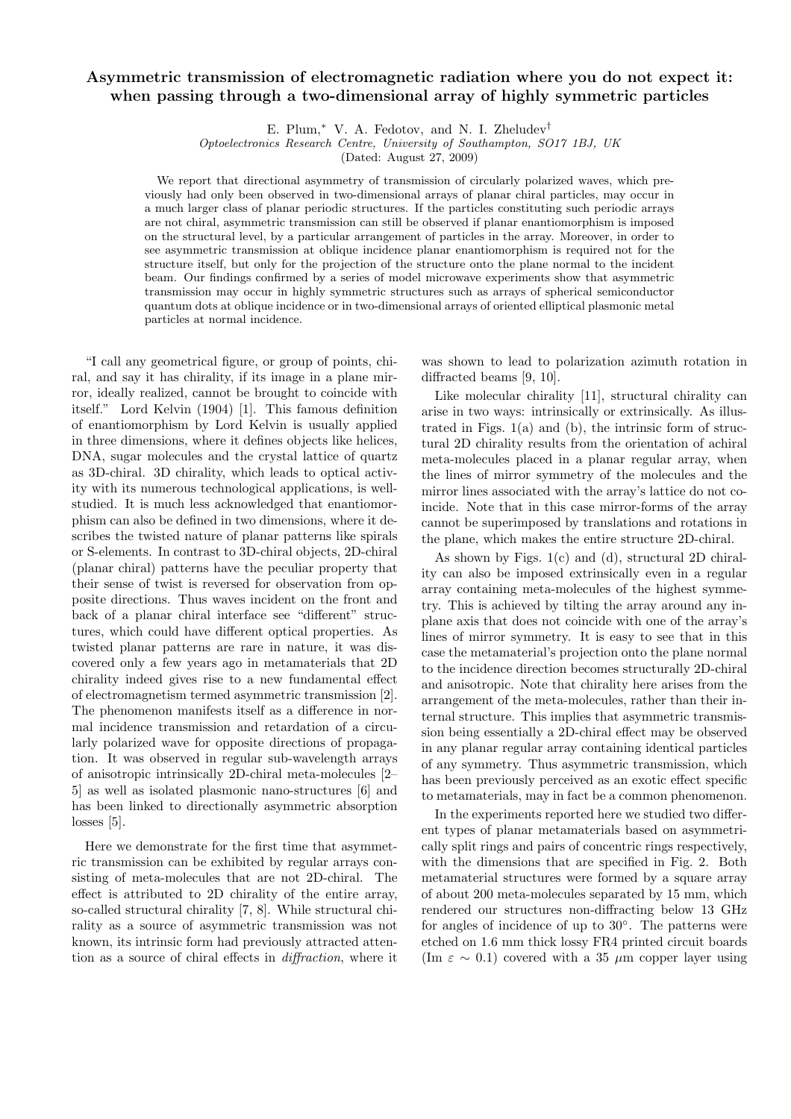## Asymmetric transmission of electromagnetic radiation where you do not expect it: when passing through a two-dimensional array of highly symmetric particles

E. Plum,<sup>∗</sup> V. A. Fedotov, and N. I. Zheludev†

Optoelectronics Research Centre, University of Southampton, SO17 1BJ, UK

(Dated: August 27, 2009)

We report that directional asymmetry of transmission of circularly polarized waves, which previously had only been observed in two-dimensional arrays of planar chiral particles, may occur in a much larger class of planar periodic structures. If the particles constituting such periodic arrays are not chiral, asymmetric transmission can still be observed if planar enantiomorphism is imposed on the structural level, by a particular arrangement of particles in the array. Moreover, in order to see asymmetric transmission at oblique incidence planar enantiomorphism is required not for the structure itself, but only for the projection of the structure onto the plane normal to the incident beam. Our findings confirmed by a series of model microwave experiments show that asymmetric transmission may occur in highly symmetric structures such as arrays of spherical semiconductor quantum dots at oblique incidence or in two-dimensional arrays of oriented elliptical plasmonic metal particles at normal incidence.

"I call any geometrical figure, or group of points, chiral, and say it has chirality, if its image in a plane mirror, ideally realized, cannot be brought to coincide with itself." Lord Kelvin (1904) [1]. This famous definition of enantiomorphism by Lord Kelvin is usually applied in three dimensions, where it defines objects like helices, DNA, sugar molecules and the crystal lattice of quartz as 3D-chiral. 3D chirality, which leads to optical activity with its numerous technological applications, is wellstudied. It is much less acknowledged that enantiomorphism can also be defined in two dimensions, where it describes the twisted nature of planar patterns like spirals or S-elements. In contrast to 3D-chiral objects, 2D-chiral (planar chiral) patterns have the peculiar property that their sense of twist is reversed for observation from opposite directions. Thus waves incident on the front and back of a planar chiral interface see "different" structures, which could have different optical properties. As twisted planar patterns are rare in nature, it was discovered only a few years ago in metamaterials that 2D chirality indeed gives rise to a new fundamental effect of electromagnetism termed asymmetric transmission [2]. The phenomenon manifests itself as a difference in normal incidence transmission and retardation of a circularly polarized wave for opposite directions of propagation. It was observed in regular sub-wavelength arrays of anisotropic intrinsically 2D-chiral meta-molecules [2– 5] as well as isolated plasmonic nano-structures [6] and has been linked to directionally asymmetric absorption losses [5].

Here we demonstrate for the first time that asymmetric transmission can be exhibited by regular arrays consisting of meta-molecules that are not 2D-chiral. The effect is attributed to 2D chirality of the entire array, so-called structural chirality [7, 8]. While structural chirality as a source of asymmetric transmission was not known, its intrinsic form had previously attracted attention as a source of chiral effects in diffraction, where it was shown to lead to polarization azimuth rotation in diffracted beams [9, 10].

Like molecular chirality [11], structural chirality can arise in two ways: intrinsically or extrinsically. As illustrated in Figs.  $1(a)$  and  $(b)$ , the intrinsic form of structural 2D chirality results from the orientation of achiral meta-molecules placed in a planar regular array, when the lines of mirror symmetry of the molecules and the mirror lines associated with the array's lattice do not coincide. Note that in this case mirror-forms of the array cannot be superimposed by translations and rotations in the plane, which makes the entire structure 2D-chiral.

As shown by Figs. 1(c) and (d), structural 2D chirality can also be imposed extrinsically even in a regular array containing meta-molecules of the highest symmetry. This is achieved by tilting the array around any inplane axis that does not coincide with one of the array's lines of mirror symmetry. It is easy to see that in this case the metamaterial's projection onto the plane normal to the incidence direction becomes structurally 2D-chiral and anisotropic. Note that chirality here arises from the arrangement of the meta-molecules, rather than their internal structure. This implies that asymmetric transmission being essentially a 2D-chiral effect may be observed in any planar regular array containing identical particles of any symmetry. Thus asymmetric transmission, which has been previously perceived as an exotic effect specific to metamaterials, may in fact be a common phenomenon.

In the experiments reported here we studied two different types of planar metamaterials based on asymmetrically split rings and pairs of concentric rings respectively, with the dimensions that are specified in Fig. 2. Both metamaterial structures were formed by a square array of about 200 meta-molecules separated by 15 mm, which rendered our structures non-diffracting below 13 GHz for angles of incidence of up to 30◦ . The patterns were etched on 1.6 mm thick lossy FR4 printed circuit boards (Im  $\varepsilon \sim 0.1$ ) covered with a 35  $\mu$ m copper layer using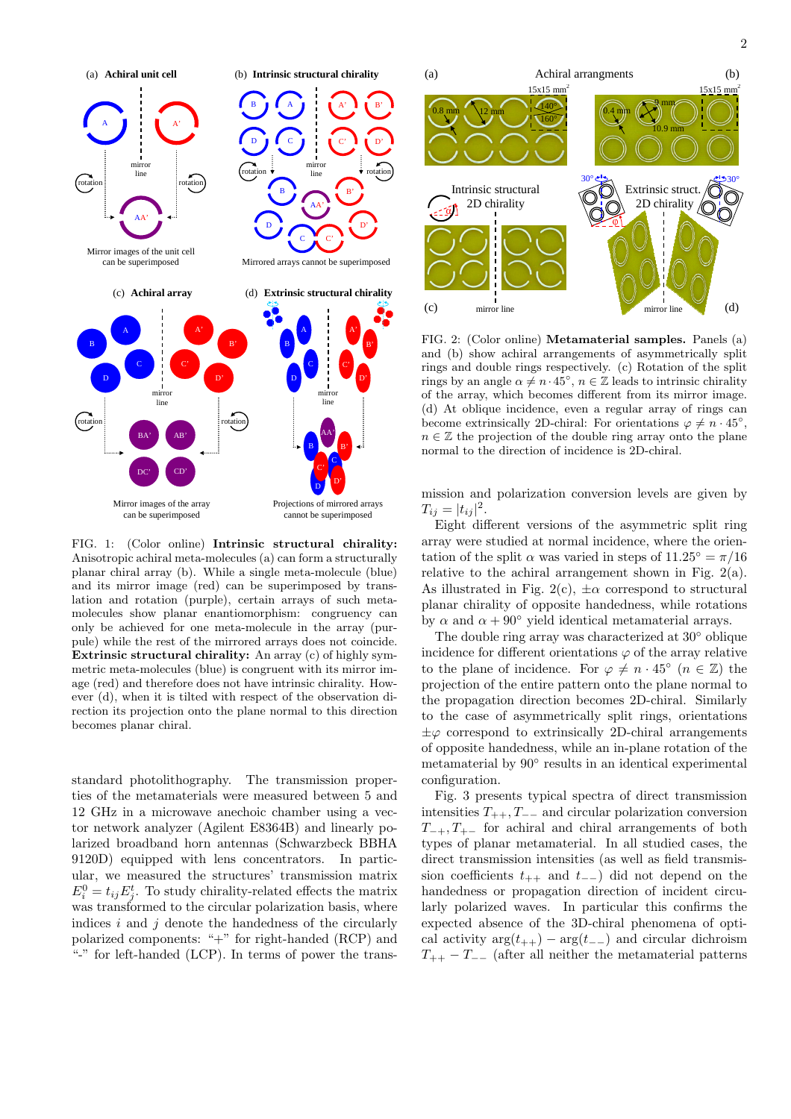

FIG. 1: (Color online) Intrinsic structural chirality: Anisotropic achiral meta-molecules (a) can form a structurally planar chiral array (b). While a single meta-molecule (blue) and its mirror image (red) can be superimposed by translation and rotation (purple), certain arrays of such metamolecules show planar enantiomorphism: congruency can only be achieved for one meta-molecule in the array (purpule) while the rest of the mirrored arrays does not coincide. Extrinsic structural chirality: An array (c) of highly symmetric meta-molecules (blue) is congruent with its mirror image (red) and therefore does not have intrinsic chirality. However (d), when it is tilted with respect of the observation direction its projection onto the plane normal to this direction

becomes planar chiral.

standard photolithography. The transmission properties of the metamaterials were measured between 5 and 12 GHz in a microwave anechoic chamber using a vector network analyzer (Agilent E8364B) and linearly polarized broadband horn antennas (Schwarzbeck BBHA 9120D) equipped with lens concentrators. In particular, we measured the structures' transmission matrix  $E_i^0 = t_{ij} E_j^t$ . To study chirality-related effects the matrix was transformed to the circular polarization basis, where indices  $i$  and  $j$  denote the handedness of the circularly polarized components: "+" for right-handed (RCP) and "-" for left-handed (LCP). In terms of power the trans-



FIG. 2: (Color online) Metamaterial samples. Panels (a) and (b) show achiral arrangements of asymmetrically split rings and double rings respectively. (c) Rotation of the split rings by an angle  $\alpha \neq n \cdot 45^{\circ}$ ,  $n \in \mathbb{Z}$  leads to intrinsic chirality of the array, which becomes different from its mirror image. (d) At oblique incidence, even a regular array of rings can become extrinsically 2D-chiral: For orientations  $\varphi \neq n \cdot 45^{\circ}$ ,  $n \in \mathbb{Z}$  the projection of the double ring array onto the plane normal to the direction of incidence is 2D-chiral.

mission and polarization conversion levels are given by  $T_{ij} = |t_{ij}|^2.$ 

Eight different versions of the asymmetric split ring array were studied at normal incidence, where the orientation of the split  $\alpha$  was varied in steps of  $11.25^\circ = \pi/16$ relative to the achiral arrangement shown in Fig. 2(a). As illustrated in Fig. 2(c),  $\pm \alpha$  correspond to structural planar chirality of opposite handedness, while rotations by  $\alpha$  and  $\alpha + 90^{\circ}$  yield identical metamaterial arrays.

The double ring array was characterized at  $30^{\circ}$  oblique incidence for different orientations  $\varphi$  of the array relative to the plane of incidence. For  $\varphi \neq n \cdot 45^{\circ}$   $(n \in \mathbb{Z})$  the projection of the entire pattern onto the plane normal to the propagation direction becomes 2D-chiral. Similarly to the case of asymmetrically split rings, orientations  $\pm\varphi$  correspond to extrinsically 2D-chiral arrangements of opposite handedness, while an in-plane rotation of the metamaterial by  $90°$  results in an identical experimental configuration.

Fig. 3 presents typical spectra of direct transmission intensities  $T_{++}$ ,  $T_{--}$  and circular polarization conversion  $T_{-+}, T_{+-}$  for achiral and chiral arrangements of both types of planar metamaterial. In all studied cases, the direct transmission intensities (as well as field transmission coefficients  $t_{++}$  and  $t_{--}$ ) did not depend on the handedness or propagation direction of incident circularly polarized waves. In particular this confirms the expected absence of the 3D-chiral phenomena of optical activity  $\arg(t_{++}) - \arg(t_{--})$  and circular dichroism  $T_{++} - T_{--}$  (after all neither the metamaterial patterns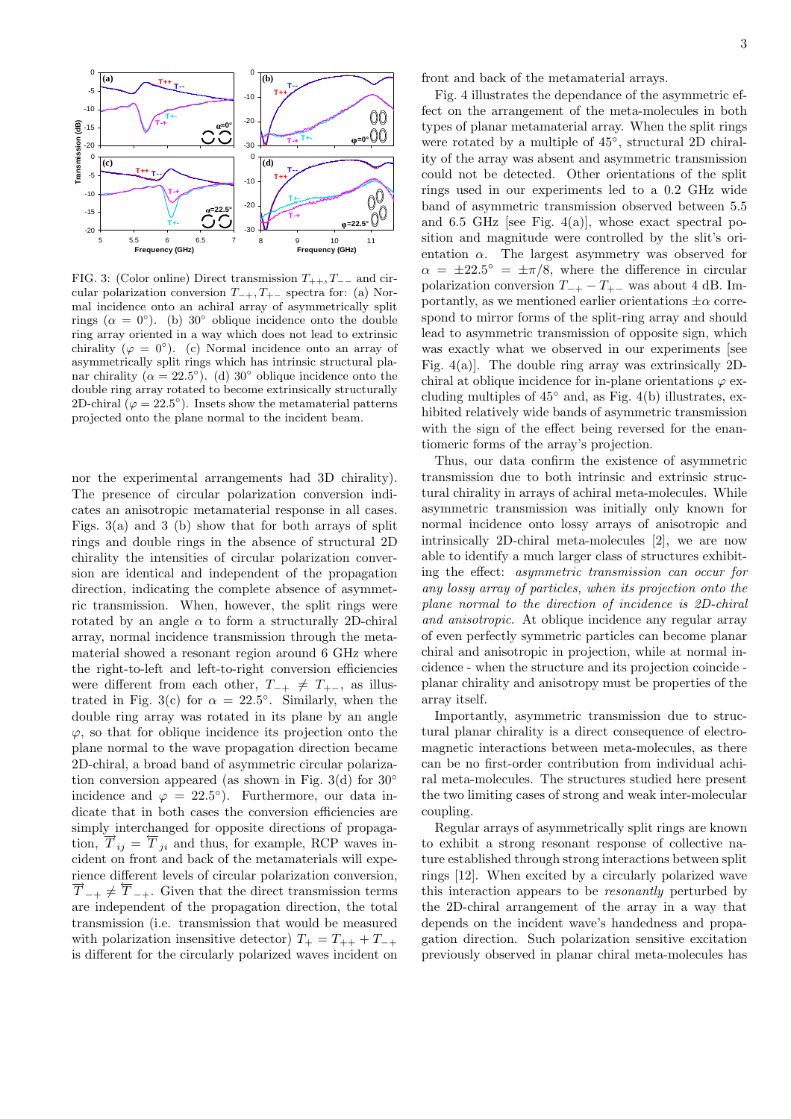

FIG. 3: (Color online) Direct transmission  $T_{++}$ ,  $T_{--}$  and circular polarization conversion  $T_{-+}, T_{+-}$  spectra for: (a) Normal incidence onto an achiral array of asymmetrically split rings ( $\alpha = 0^{\circ}$ ). (b) 30° oblique incidence onto the double ring array oriented in a way which does not lead to extrinsic chirality  $(\varphi = 0^{\circ})$ . (c) Normal incidence onto an array of asymmetrically split rings which has intrinsic structural planar chirality ( $\alpha = 22.5^{\circ}$ ). (d) 30° oblique incidence onto the double ring array rotated to become extrinsically structurally 2D-chiral  $(\varphi = 22.5^{\circ})$ . Insets show the metamaterial patterns projected onto the plane normal to the incident beam.

nor the experimental arrangements had 3D chirality). The presence of circular polarization conversion indicates an anisotropic metamaterial response in all cases. Figs. 3(a) and 3 (b) show that for both arrays of split rings and double rings in the absence of structural 2D chirality the intensities of circular polarization conversion are identical and independent of the propagation direction, indicating the complete absence of asymmetric transmission. When, however, the split rings were rotated by an angle  $\alpha$  to form a structurally 2D-chiral array, normal incidence transmission through the metamaterial showed a resonant region around 6 GHz where the right-to-left and left-to-right conversion efficiencies were different from each other,  $T_{-+} \neq T_{+-}$ , as illustrated in Fig. 3(c) for  $\alpha = 22.5^{\circ}$ . Similarly, when the double ring array was rotated in its plane by an angle  $\varphi$ , so that for oblique incidence its projection onto the plane normal to the wave propagation direction became 2D-chiral, a broad band of asymmetric circular polarization conversion appeared (as shown in Fig. 3(d) for  $30^\circ$ incidence and  $\varphi = 22.5^{\circ}$ . Furthermore, our data indicate that in both cases the conversion efficiencies are simply interchanged for opposite directions of propagasimply interesting of the opposite directions of propaga-<br>tion,  $\overrightarrow{T}_{ij} = \overleftarrow{T}_{ji}$  and thus, for example, RCP waves incident on front and back of the metamaterials will experience different levels of circular polarization conversion,  $\overrightarrow{T}_{-+} \neq \overleftarrow{T}_{-+}$ . Given that the direct transmission terms are independent of the propagation direction, the total transmission (i.e. transmission that would be measured with polarization insensitive detector)  $T_{+} = T_{++} + T_{-+}$ is different for the circularly polarized waves incident on front and back of the metamaterial arrays.

Fig. 4 illustrates the dependance of the asymmetric effect on the arrangement of the meta-molecules in both types of planar metamaterial array. When the split rings were rotated by a multiple of  $45^{\circ}$ , structural 2D chirality of the array was absent and asymmetric transmission could not be detected. Other orientations of the split rings used in our experiments led to a 0.2 GHz wide band of asymmetric transmission observed between 5.5 and 6.5 GHz [see Fig. 4(a)], whose exact spectral position and magnitude were controlled by the slit's orientation  $\alpha$ . The largest asymmetry was observed for  $\alpha = \pm 22.5^{\circ} = \pm \pi/8$ , where the difference in circular polarization conversion  $T_{-+} - T_{+-}$  was about 4 dB. Importantly, as we mentioned earlier orientations  $\pm \alpha$  correspond to mirror forms of the split-ring array and should lead to asymmetric transmission of opposite sign, which was exactly what we observed in our experiments [see Fig.  $4(a)$ ]. The double ring array was extrinsically 2Dchiral at oblique incidence for in-plane orientations  $\varphi$  excluding multiples of  $45°$  and, as Fig.  $4(b)$  illustrates, exhibited relatively wide bands of asymmetric transmission with the sign of the effect being reversed for the enantiomeric forms of the array's projection.

Thus, our data confirm the existence of asymmetric transmission due to both intrinsic and extrinsic structural chirality in arrays of achiral meta-molecules. While asymmetric transmission was initially only known for normal incidence onto lossy arrays of anisotropic and intrinsically 2D-chiral meta-molecules [2], we are now able to identify a much larger class of structures exhibiting the effect: asymmetric transmission can occur for any lossy array of particles, when its projection onto the plane normal to the direction of incidence is 2D-chiral and anisotropic. At oblique incidence any regular array of even perfectly symmetric particles can become planar chiral and anisotropic in projection, while at normal incidence - when the structure and its projection coincide planar chirality and anisotropy must be properties of the array itself.

Importantly, asymmetric transmission due to structural planar chirality is a direct consequence of electromagnetic interactions between meta-molecules, as there can be no first-order contribution from individual achiral meta-molecules. The structures studied here present the two limiting cases of strong and weak inter-molecular coupling.

Regular arrays of asymmetrically split rings are known to exhibit a strong resonant response of collective nature established through strong interactions between split rings [12]. When excited by a circularly polarized wave this interaction appears to be resonantly perturbed by the 2D-chiral arrangement of the array in a way that depends on the incident wave's handedness and propagation direction. Such polarization sensitive excitation previously observed in planar chiral meta-molecules has